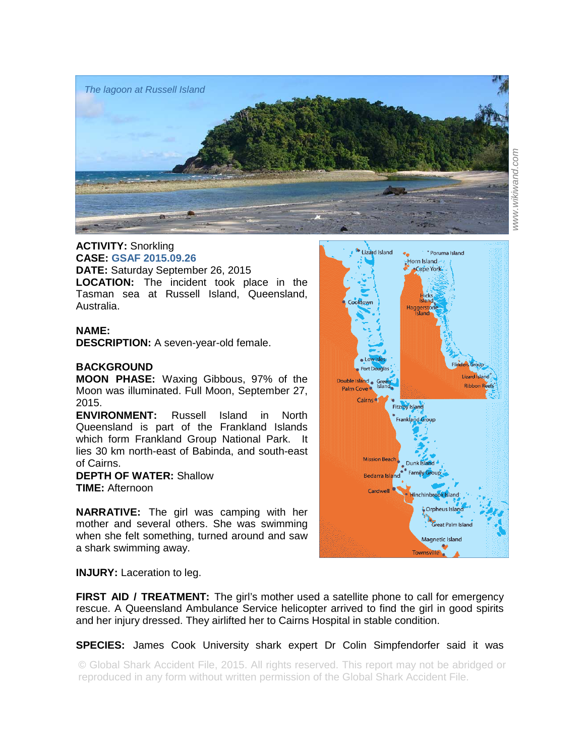

## **ACTIVITY:** Snorkling **CASE: GSAF 2015.09.26**

**DATE:** Saturday September 26, 2015 **LOCATION:** The incident took place in the Tasman sea at Russell Island, Queensland, Australia.

## **NAME:**

**DESCRIPTION:** A seven-year-old female.

## **BACKGROUND**

**MOON PHASE:** Waxing Gibbous, 97% of the Moon was illuminated. Full Moon, September 27, 2015.

**ENVIRONMENT:** Russell Island in North Queensland is part of the Frankland Islands which form Frankland Group National Park. It lies 30 km north-east of Babinda, and south-east of Cairns.

## **DEPTH OF WATER:** Shallow **TIME:** Afternoon

**NARRATIVE:** The girl was camping with her mother and several others. She was swimming when she felt something, turned around and saw a shark swimming away.



**INJURY:** Laceration to leg.

**FIRST AID / TREATMENT:** The girl's mother used a satellite phone to call for emergency rescue. A Queensland Ambulance Service helicopter arrived to find the girl in good spirits and her injury dressed. They airlifted her to Cairns Hospital in stable condition.

**SPECIES:** James Cook University shark expert Dr Colin Simpfendorfer said it was

© Global Shark Accident File, 2015. All rights reserved. This report may not be abridged or reproduced in any form without written permission of the Global Shark Accident File.